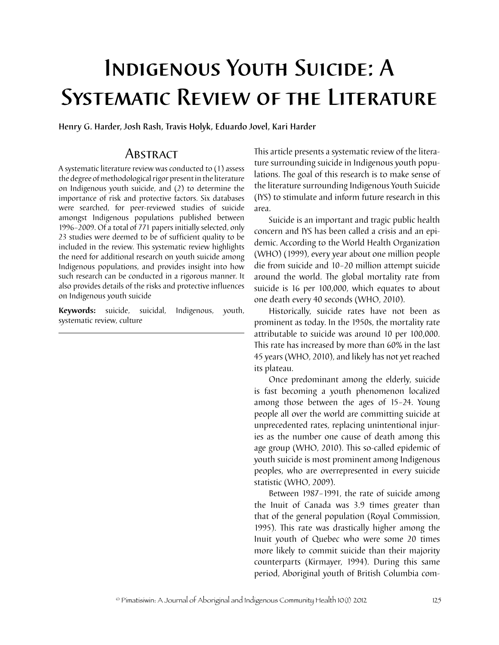# Indigenous Youth Suicide: A Systematic Review of the Literature

Henry G. Harder, Josh Rash, Travis Holyk, Eduardo Jovel, Kari Harder

# **Abstract**

A systematic literature review was conducted to (1) assess the degree of methodological rigor present in the literature on Indigenous youth suicide, and (2) to determine the importance of risk and protective factors. Six databases were searched, for peer-reviewed studies of suicide amongst Indigenous populations published between 1996–2009. Of a total of 771 papers initially selected, only 23 studies were deemed to be of sufficient quality to be included in the review. This systematic review highlights the need for additional research on youth suicide among Indigenous populations, and provides insight into how such research can be conducted in a rigorous manner. It also provides details of the risks and protective influences on Indigenous youth suicide

**Keywords:** suicide, suicidal, Indigenous, youth, systematic review, culture

This article presents a systematic review of the literature surrounding suicide in Indigenous youth populations. The goal of this research is to make sense of the literature surrounding Indigenous Youth Suicide (IYS) to stimulate and inform future research in this area.

Suicide is an important and tragic public health concern and IYS has been called a crisis and an epidemic. According to the World Health Organization (WHO) (1999), every year about one million people die from suicide and 10–20 million attempt suicide around the world. The global mortality rate from suicide is 16 per 100,000, which equates to about one death every 40 seconds (WHO, 2010).

Historically, suicide rates have not been as prominent as today. In the 1950s, the mortality rate attributable to suicide was around 10 per 100,000. This rate has increased by more than 60% in the last 45 years (WHO, 2010), and likely has not yet reached its plateau.

Once predominant among the elderly, suicide is fast becoming a youth phenomenon localized among those between the ages of 15–24. Young people all over the world are committing suicide at unprecedented rates, replacing unintentional injuries as the number one cause of death among this age group (WHO, 2010). This so-called epidemic of youth suicide is most prominent among Indigenous peoples, who are overrepresented in every suicide statistic (WHO, 2009).

Between 1987–1991, the rate of suicide among the Inuit of Canada was 3.9 times greater than that of the general population (Royal Commission, 1995). This rate was drastically higher among the Inuit youth of Quebec who were some 20 times more likely to commit suicide than their majority counterparts (Kirmayer, 1994). During this same period, Aboriginal youth of British Columbia com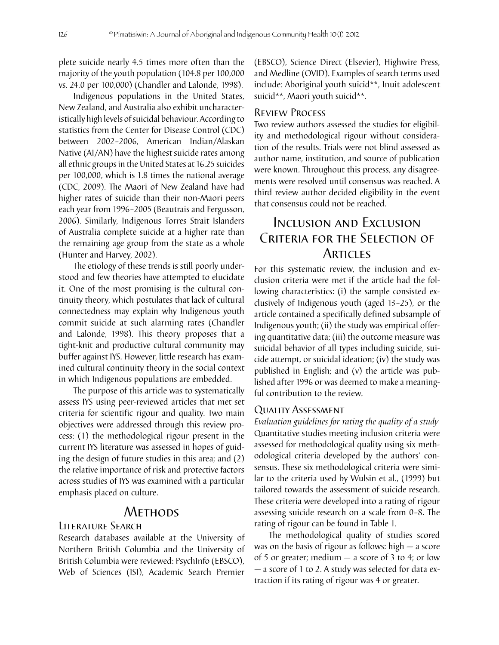plete suicide nearly 4.5 times more often than the majority of the youth population (104.8 per 100,000 vs. 24.0 per 100,000) (Chandler and Lalonde, 1998).

Indigenous populations in the United States, New Zealand, and Australia also exhibit uncharacteristically high levels of suicidal behaviour. According to statistics from the Center for Disease Control (CDC) between 2002–2006, American Indian/Alaskan Native (AI/AN) have the highest suicide rates among all ethnic groups in the United States at 16.25 suicides per 100,000, which is 1.8 times the national average (CDC, 2009). The Maori of New Zealand have had higher rates of suicide than their non-Maori peers each year from 1996–2005 (Beautrais and Fergusson, 2006). Similarly, Indigenous Torres Strait Islanders of Australia complete suicide at a higher rate than the remaining age group from the state as a whole (Hunter and Harvey, 2002).

The etiology of these trends is still poorly understood and few theories have attempted to elucidate it. One of the most promising is the cultural continuity theory, which postulates that lack of cultural connectedness may explain why Indigenous youth commit suicide at such alarming rates (Chandler and Lalonde, 1998). This theory proposes that a tight-knit and productive cultural community may buffer against IYS. However, little research has examined cultural continuity theory in the social context in which Indigenous populations are embedded.

The purpose of this article was to systematically assess IYS using peer-reviewed articles that met set criteria for scientific rigour and quality. Two main objectives were addressed through this review process: (1) the methodological rigour present in the current IYS literature was assessed in hopes of guiding the design of future studies in this area; and (2) the relative importance of risk and protective factors across studies of IYS was examined with a particular emphasis placed on culture.

# **METHODS**

### Literature Search

Research databases available at the University of Northern British Columbia and the University of British Columbia were reviewed: PsychInfo (EBSCO), Web of Sciences (ISI), Academic Search Premier

(EBSCO), Science Direct (Elsevier), Highwire Press, and Medline (OVID). Examples of search terms used include: Aboriginal youth suicid\*\*, Inuit adolescent suicid\*\*, Maori youth suicid\*\*.

### Review Process

Two review authors assessed the studies for eligibility and methodological rigour without consideration of the results. Trials were not blind assessed as author name, institution, and source of publication were known. Throughout this process, any disagreements were resolved until consensus was reached. A third review author decided eligibility in the event that consensus could not be reached.

# Inclusion and Exclusion Criteria for the Selection of Articles

For this systematic review, the inclusion and exclusion criteria were met if the article had the following characteristics: (i) the sample consisted exclusively of Indigenous youth (aged 13–25), or the article contained a specifically defined subsample of Indigenous youth; (ii) the study was empirical offering quantitative data; (iii) the outcome measure was suicidal behavior of all types including suicide, suicide attempt, or suicidal ideation; (iv) the study was published in English; and (v) the article was published after 1996 or was deemed to make a meaningful contribution to the review.

### Quality Assessment

*Evaluation guidelines for rating the quality of a study*  Quantitative studies meeting inclusion criteria were assessed for methodological quality using six methodological criteria developed by the authors' consensus. These six methodological criteria were similar to the criteria used by Wulsin et al., (1999) but tailored towards the assessment of suicide research. These criteria were developed into a rating of rigour assessing suicide research on a scale from 0–8. The rating of rigour can be found in Table 1.

The methodological quality of studies scored was on the basis of rigour as follows: high — a score of 5 or greater; medium — a score of 3 to 4; or low — a score of 1 to 2. A study was selected for data extraction if its rating of rigour was 4 or greater.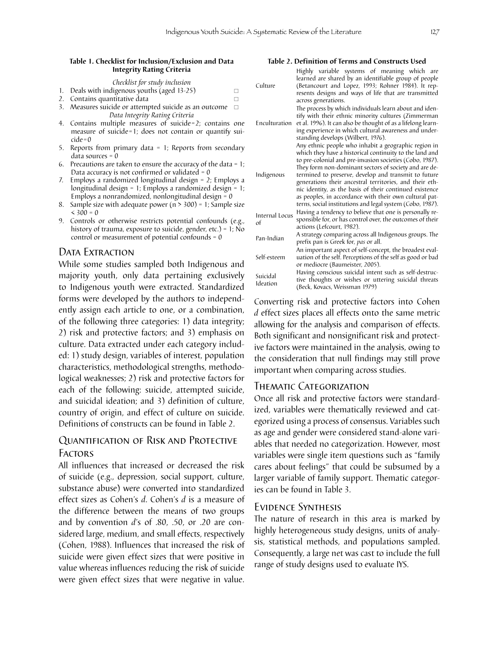#### **Table 1. Checklist for Inclusion/Exclusion and Data Integrity Rating Criteria**

### *Checklist for study inclusion*

- 1. Deals with indigenous youths (aged 13-25)
- 2. Contains quantitative data 3. Measures suicide or attempted suicide as an outcome  $\Box$
- *Data Integrity Rating Criteria*
- 4. Contains multiple measures of suicide=2; contains one measure of suicide=1; does not contain or quantify suicide=0
- 5. Reports from primary data = 1; Reports from secondary  $data$  sources = 0
- 6. Precautions are taken to ensure the accuracy of the data = 1; Data accuracy is not confirmed or validated  $= 0$
- 7. Employs a randomized longitudinal design = 2; Employs a longitudinal design = 1; Employs a randomized design = 1; Employs a nonrandomized, nonlongitudinal design  $= 0$
- 8. Sample size with adequate power  $(n > 300) = 1$ ; Sample size  $\leq 300 = 0$
- 9. Controls or otherwise restricts potential confounds (e.g., history of trauma, exposure to suicide, gender, etc.) = 1; No control or measurement of potential confounds = 0

### Data Extraction

While some studies sampled both Indigenous and majority youth, only data pertaining exclusively to Indigenous youth were extracted. Standardized forms were developed by the authors to independently assign each article to one, or a combination, of the following three categories: 1) data integrity; 2) risk and protective factors; and 3) emphasis on culture. Data extracted under each category included: 1) study design, variables of interest, population characteristics, methodological strengths, methodological weaknesses; 2) risk and protective factors for each of the following: suicide, attempted suicide, and suicidal ideation; and 3) definition of culture, country of origin, and effect of culture on suicide. Definitions of constructs can be found in Table 2.

# Quantification of Risk and Protective Factors

All influences that increased or decreased the risk of suicide (e.g., depression, social support, culture, substance abuse) were converted into standardized effect sizes as Cohen's *d*. Cohen's *d* is a measure of the difference between the means of two groups and by convention *d*'s of .80, .50, or .20 are considered large, medium, and small effects, respectively (Cohen, 1988). Influences that increased the risk of suicide were given effect sizes that were positive in value whereas influences reducing the risk of suicide were given effect sizes that were negative in value.

#### **Table 2. Definition of Terms and Constructs Used**

| Culture              | Highly variable systems of meaning which are<br>learned are shared by an identifiable group of people<br>(Betancourt and Lopez, 1993; Rohner 1984). It rep-<br>resents designs and ways of life that are transmitted<br>across generations.                                                                                                                                                                                                                                                                                               |  |  |  |  |
|----------------------|-------------------------------------------------------------------------------------------------------------------------------------------------------------------------------------------------------------------------------------------------------------------------------------------------------------------------------------------------------------------------------------------------------------------------------------------------------------------------------------------------------------------------------------------|--|--|--|--|
| Enculturation        | The process by which individuals learn about and iden-<br>tify with their ethnic minority cultures (Zimmerman<br>et al. 1996). It can also be thought of as a lifelong learn-<br>ing experience in which cultural awareness and under-<br>standing develops (Wilbert, 1976).                                                                                                                                                                                                                                                              |  |  |  |  |
| Indigenous           | Any ethnic people who inhabit a geographic region in<br>which they have a historical continuity to the land and<br>to pre-colonial and pre-invasion societies (Cobo, 1987).<br>They form non-dominant sectors of society and are de-<br>termined to preserve, develop and transmit to future<br>generations their ancestral territories, and their eth-<br>nic identity, as the basis of their continued existence<br>as peoples, in accordance with their own cultural pat-<br>terns, social institutions and legal system (Cobo, 1987). |  |  |  |  |
| Internal Locus<br>of | Having a tendency to believe that one is personally re-<br>sponsible for, or has control over, the outcomes of their<br>actions (Lefcourt, 1982).                                                                                                                                                                                                                                                                                                                                                                                         |  |  |  |  |
| Pan-Indian           | A strategy comparing across all Indigenous groups. The<br>prefix pan is Greek for, pas or all.                                                                                                                                                                                                                                                                                                                                                                                                                                            |  |  |  |  |
| Self-esteem          | An important aspect of self-concept, the broadest eval-<br>uation of the self. Perceptions of the self as good or bad<br>or mediocre (Baumeister, 2005).                                                                                                                                                                                                                                                                                                                                                                                  |  |  |  |  |
| Suicidal<br>Ideation | Having conscious suicidal intent such as self-destruc-<br>tive thoughts or wishes or uttering suicidal threats<br>$(0, 1, 1)$ $(1, 1)$ $(0, 70)$                                                                                                                                                                                                                                                                                                                                                                                          |  |  |  |  |

Converting risk and protective factors into Cohen *d* effect sizes places all effects onto the same metric allowing for the analysis and comparison of effects. Both significant and nonsignificant risk and protective factors were maintained in the analysis, owing to the consideration that null findings may still prove important when comparing across studies.

(Beck, Kovacs, Weissman 1979)

### Thematic Categorization

Once all risk and protective factors were standardized, variables were thematically reviewed and categorized using a process of consensus. Variables such as age and gender were considered stand-alone variables that needed no categorization. However, most variables were single item questions such as "family cares about feelings" that could be subsumed by a larger variable of family support. Thematic categories can be found in Table 3.

### Evidence Synthesis

The nature of research in this area is marked by highly heterogeneous study designs, units of analysis, statistical methods, and populations sampled. Consequently, a large net was cast to include the full range of study designs used to evaluate IYS.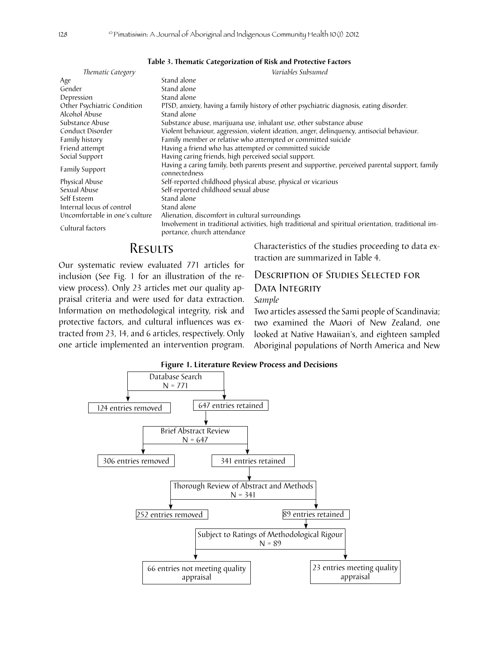| Thematic Category              | Variables Subsumed                                                                                                                |  |  |  |  |  |
|--------------------------------|-----------------------------------------------------------------------------------------------------------------------------------|--|--|--|--|--|
| Age                            | Stand alone                                                                                                                       |  |  |  |  |  |
| Gender                         | Stand alone                                                                                                                       |  |  |  |  |  |
| Depression                     | Stand alone                                                                                                                       |  |  |  |  |  |
| Other Psychiatric Condition    | PTSD, anxiety, having a family history of other psychiatric diagnosis, eating disorder.                                           |  |  |  |  |  |
| Alcohol Abuse                  | Stand alone                                                                                                                       |  |  |  |  |  |
| Substance Abuse                | Substance abuse, marijuana use, inhalant use, other substance abuse                                                               |  |  |  |  |  |
| Conduct Disorder               | Violent behaviour, aggression, violent ideation, anger, delinquency, antisocial behaviour.                                        |  |  |  |  |  |
| Family history                 | Family member or relative who attempted or committed suicide                                                                      |  |  |  |  |  |
| Friend attempt                 | Having a friend who has attempted or committed suicide                                                                            |  |  |  |  |  |
| Social Support                 | Having caring friends, high perceived social support.                                                                             |  |  |  |  |  |
| <b>Family Support</b>          | Having a caring family, both parents present and supportive, perceived parental support, family<br>connectedness                  |  |  |  |  |  |
| Physical Abuse                 | Self-reported childhood physical abuse, physical or vicarious                                                                     |  |  |  |  |  |
| Sexual Abuse                   | Self-reported childhood sexual abuse                                                                                              |  |  |  |  |  |
| Self Esteem                    | Stand alone                                                                                                                       |  |  |  |  |  |
| Internal locus of control      | Stand alone                                                                                                                       |  |  |  |  |  |
| Uncomfortable in one's culture | Alienation, discomfort in cultural surroundings                                                                                   |  |  |  |  |  |
| Cultural factors               | Involvement in traditional activities, high traditional and spiritual orientation, traditional im-<br>portance, church attendance |  |  |  |  |  |

#### **Table 3. Thematic Categorization of Risk and Protective Factors**

# Results

Our systematic review evaluated 771 articles for inclusion (See Fig. 1 for an illustration of the review process). Only 23 articles met our quality appraisal criteria and were used for data extraction. Information on methodological integrity, risk and protective factors, and cultural influences was extracted from 23, 14, and 6 articles, respectively. Only one article implemented an intervention program.

Characteristics of the studies proceeding to data extraction are summarized in Table 4.

# Description of Studies Selected for Data Integrity

*Sample*

Two articles assessed the Sami people of Scandinavia; two examined the Maori of New Zealand, one looked at Native Hawaiian's, and eighteen sampled Aboriginal populations of North America and New

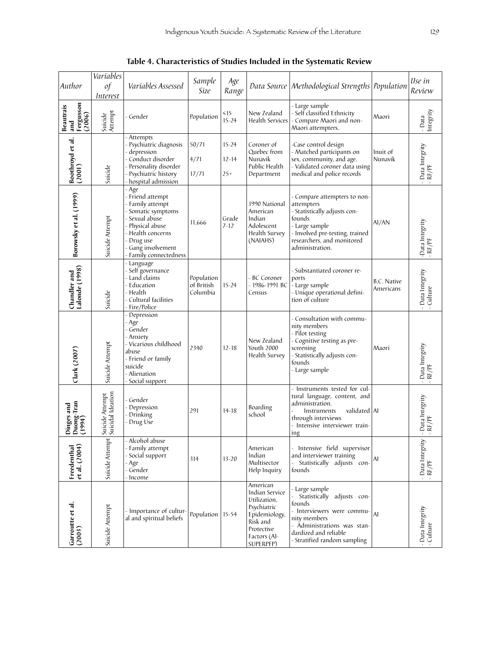| Author                                             | Variables<br>$\sigma f$<br><i>Interest</i> | Variables Assessed                                                                                                                                                                           | Sample<br>Size                       | Age<br>Range                    |                                                                                                                                   | Data Source   Methodological Strengths   Population                                                                                                                                          |                                 | llse in<br>Review                                                         |
|----------------------------------------------------|--------------------------------------------|----------------------------------------------------------------------------------------------------------------------------------------------------------------------------------------------|--------------------------------------|---------------------------------|-----------------------------------------------------------------------------------------------------------------------------------|----------------------------------------------------------------------------------------------------------------------------------------------------------------------------------------------|---------------------------------|---------------------------------------------------------------------------|
| Fergusson<br>(2006)<br>Beautrais<br>$\overline{a}$ | Suicide<br>Attempt                         | Gender                                                                                                                                                                                       | Population                           | $\leq$ 15<br>$15 - 24$          | New Zealand<br>Health Services                                                                                                    | - Large sample<br>- Self classified Ethnicity<br>- Compare Maori and non-<br>Maori attempters.                                                                                               | Maori                           | Integrity<br>- Data                                                       |
| Boothroyd et al.<br>(2001)                         | Suicide                                    | - Attempts<br>- Psychiatric diagnosis<br>- depression<br>- Conduct disorder<br>- Personality disorder<br>- Psychiatric history<br>- hospital admission                                       | 50/71<br>4/71<br>17/71               | $15 - 24$<br>$12 - 14$<br>$25+$ | Coroner of<br>Quebec from<br>Nunavik<br>Public Health<br>Department                                                               | -Case control design<br>- Matched participants on<br>sex, community, and age.<br>- Validated coroner data using<br>medical and police records                                                | Inuit of<br>Nunavik             | Data Integrity<br>RF/PF                                                   |
| Borowsky et al. (1999)                             | Suicide Attempt                            | - Age<br>- Friend attempt<br>- Family attempt<br>- Somatic symptoms<br>- Sexual abuse<br>- Physical abuse<br>- Health concerns<br>- Drug use<br>- Gang involvement<br>- Family connectedness | 11,666                               | Grade<br>$7 - 12$               | 1990 National<br>American<br>Indian<br>Adolescent<br>Health Survey<br>(NAIAHS)                                                    | - Compare attempters to non-<br>attempters<br>- Statistically adjusts con-<br>founds<br>- Large sample<br>- Involved pre-testing, trained<br>researchers, and monitored<br>administration.   | AI/AN                           | $\begin{array}{ll} -\text{Data Integrity} \\ -\text{RF/PF} \end{array}$   |
| Chandler and<br>Lalonde (1998)                     | Suicide                                    | - Language<br>- Self governance<br>- Land claims<br>- Education<br>- Health<br>- Cultural facilities<br>- Fire/Police                                                                        | Population<br>of British<br>Columbia | $15 - 24$                       | <b>BC</b> Coroner<br>- 1986-1991 BC<br>Census                                                                                     | - Substantiated coroner re-<br>ports<br>- Large sample<br>- Unique operational defini-<br>tion of culture                                                                                    | <b>B.C.</b> Native<br>Americans | $\begin{array}{ll} -\text{Data Integrity} \\ -\text{Culture} \end{array}$ |
| Clark $(2007)$                                     | Suicide Attempt                            | - Depression<br>- Age<br>- Gender<br>- Anxiety<br>- Vicarious childhood<br>abuse<br>- Friend or family<br>suicide<br>- Alienation<br>- Social support                                        | 2340                                 | $12 - 18$                       | New Zealand<br>Youth 2000<br>Health Survey                                                                                        | - Consultation with commu-<br>nity members<br>- Pilot testing<br>- Cognitive testing as pre-<br>screening<br>- Statistically adjusts con-<br>founds<br>- Large sample                        | Maori                           | - Data Integrity<br>- RF/PF                                               |
| Dinges and<br>Duong-Tran<br>(1994)                 | Suicide Attempt<br>Suicidal Ideation<br>ハび | Gender<br>- Depression<br>- Drinking<br>- Drug Use                                                                                                                                           | 291                                  | $14 - 18$                       | Boarding<br>school                                                                                                                | - Instruments tested for cul-<br>tural language, content, and<br>administration.<br>validated   Al<br>Instruments<br>through interviews<br>- Intensive interviewer train-<br>ing             |                                 | Data Integrity<br>RF/PF                                                   |
| Freedenthal<br>et al. (2004)                       | Suicide Attempt                            | - Alcohol abuse<br>- Family attempt<br>- Social support<br>- Age<br>- Gender<br>- Income                                                                                                     | 314                                  | $13 - 20$                       | American<br>Indian<br>Multisector<br>Help Inquiry                                                                                 | - Intensive field supervisor<br>and interviewer training<br>Statistically adjusts con-<br>founds                                                                                             | Al                              | $\begin{array}{c c} \text{Data Integrity} \\ \text{RF/PF} \end{array}$    |
| Garroutte et al.<br>(2003)                         | Suicide Attempt                            | - Importance of cultur-<br>al and spiritual beliefs                                                                                                                                          | Population                           | $15-54$                         | American<br>Indian Service<br>Utilization,<br>Psychiatric<br>Epidemiology,<br>Risk and<br>Protective<br>Factors (Al-<br>SUPERPFP) | - Large sample<br>Statistically adjusts con-<br>founds<br>- Interviewers were commu-<br>nity members<br>- Administrations was stan-<br>dardized and reliable<br>- Stratified random sampling | Al                              | $\begin{array}{ll} -\text{Data Integrity} \\ -\text{Culture} \end{array}$ |

**Table 4. Characteristics of Studies Included in the Systematic Review**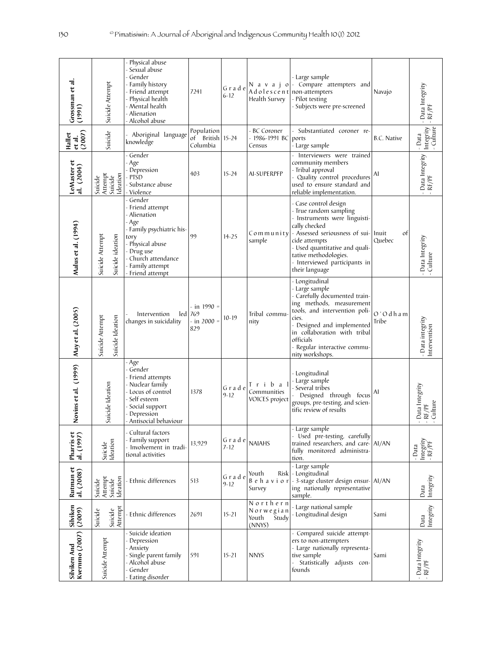|                                   |                                           | Physical abuse<br>- Sexual abuse<br>- Gender                                                                                                                                                |                                                  |                   |                                                   | - Large sample                                                                                                                                                                                                                                                                                     |                  |                                                                                                                                                              |
|-----------------------------------|-------------------------------------------|---------------------------------------------------------------------------------------------------------------------------------------------------------------------------------------------|--------------------------------------------------|-------------------|---------------------------------------------------|----------------------------------------------------------------------------------------------------------------------------------------------------------------------------------------------------------------------------------------------------------------------------------------------------|------------------|--------------------------------------------------------------------------------------------------------------------------------------------------------------|
| Grossman et al.<br>(1991)         | Suicide Attempt                           | - Family history<br>- Friend attempt<br>- Physical health<br>- Mental health<br>- Alienation<br>- Alcohol abuse                                                                             | 7241                                             | Grade<br>$6 - 12$ | Health Survey                                     | N a v a j o $\begin{vmatrix} - & \text{Compare} \\ \text{Adolescent} \end{vmatrix}$ attempters and<br>- Pilot testing<br>- Subjects were pre-screened                                                                                                                                              | Navajo           | $\begin{array}{l} \text{\textendash} \vspace{- \texttt{Data} \, \texttt{Integrity}} \\ \text{\textendash} \vspace{- \texttt{RF} \, \texttt{PF}} \end{array}$ |
| (2007)<br>Hallet<br>et al.        | Suicide                                   | - Aboriginal language<br>knowledge                                                                                                                                                          | Population<br>of British<br>Columbia             | $15 - 24$         | - BC Coroner<br>- 1986-1991 BC<br>Census          | Substantiated coroner re-<br>ports<br>- Large sample                                                                                                                                                                                                                                               | B.C. Native      | Integrity<br> - Culture<br>- Data                                                                                                                            |
| $\frac{$ 1eMaster et}{al. (2004)} | Attempt<br>Suicide<br>Ideation<br>Suicide | - Gender<br>- Age<br>- Depression<br>- PTSD<br>- Substance abuse<br>- Violence                                                                                                              | 403                                              | $15 - 24$         | AI-SUPERPFP                                       | Interviewers were trained<br>community members<br>- Tribal approval<br>- Quality control procedures<br>used to ensure standard and<br>reliable implementation.                                                                                                                                     | Al               | $\begin{bmatrix} -\text{Data Integrity} \\ -\text{RF/PF} \end{bmatrix}$                                                                                      |
| Malus et al. (1994)               | Suicide Attempt<br>Suicide ideation       | - Gender<br>- Friend attempt<br>- Alienation<br>- Age<br>- Family psychiatric his-<br>tory<br>- Physical abuse<br>- Drug use<br>- Church attendance<br>- Family attempt<br>- Friend attempt | 99                                               | $14 - 25$         | sample                                            | - Case control design<br>- True random sampling<br>- Instruments were linguisti-<br>cally checked<br>Community $\vert$ - Assessed seriousness of sui- $\vert$ lnuit<br>cide attempts<br>- Used quantitative and quali-<br>tative methodologies.<br>- Interviewed participants in<br>their language | of<br>Quebec     | Data Integrity<br>Culture                                                                                                                                    |
| May et al. (2005)                 | Suicide Attempt<br>Suicide Ideation       | Intervention<br>changes in suicidality                                                                                                                                                      | $-$ in 1990 =<br>led 769<br>$-$ in 2000 =<br>829 | $10-19$           | Tribal commu-<br>nity                             | - Longitudinal<br>- Large sample<br>- Carefully documented train-<br>ing methods, measurement<br>tools, and intervention poli-<br>cies.<br>- Designed and implemented<br>in collaboration with tribal<br>officials<br>- Regular interactive commu-<br>nity workshops.                              | O'Odham<br>Tribe | $\begin{array}{c} -\text{Data integrity} \\ \text{International} \end{array}$                                                                                |
| Novins et al. (1999)              | Suicide Ideation                          | - Age<br>- Gender<br>- Friend attempts<br>- Nuclear family<br>- Locus of control<br>- Self esteem<br>- Social support<br>- Depression<br>Antisocial behaviour                               | 1378                                             | Grade<br>$9 - 12$ | Tribal<br>Communities<br>VOICES project           | - Longitudinal<br>- Large sample<br>- Several tribes<br>Designed through focus<br>groups, pre-testing, and scien-<br>tific review of results                                                                                                                                                       | Al               | Data Integrity<br>Culture<br>$RF/PF$                                                                                                                         |
| Pharris et<br>al. (1997)          | Suicide<br>Ideation                       | - Cultural factors<br>- Family support<br>- Involvement in tradi-<br>tional activities                                                                                                      | 13,929                                           | Grade<br>$7 - 12$ | <b>NAIAHS</b>                                     | - Large sample<br>- Used pre-testing, carefully<br>trained researchers, and care- AI/AN<br>fully monitored administra-<br>tion.                                                                                                                                                                    |                  | $\begin{array}{ l } \hline \text{Integrity} \\ \text{- RF/PF} \end{array}$<br>- Data                                                                         |
| Rutman et<br>al. (2008)           | Attempt<br>Suicide<br>Ideation<br>Suicide | - Ethnic differences                                                                                                                                                                        | 513                                              | Grade<br>$9 - 12$ | Youth<br>Survey                                   | - Large sample<br>Risk - Longitudinal<br>B e h a v i o r $\vert$ - 3-stage cluster design ensur- $\vert$ AI/AN<br>ing nationally representative<br>sample.                                                                                                                                         |                  | $\begin{array}{c} {\rm Data} \\ {\rm Integrity} \end{array}$                                                                                                 |
| Silviken<br>(2009)                | Suicide<br>Attempt<br>Suicide             | Ethnic differences                                                                                                                                                                          | 2691                                             | $15 - 21$         | Northern<br>Norwegian<br>Youth<br>Study<br>(NNYS) | Large national sample<br>Longitudinal design                                                                                                                                                                                                                                                       | Sami             | Integrity<br>Data                                                                                                                                            |
| Kvernmo (2007)<br>Silviken And    | Suicide Attempt                           | - Suicide ideation<br>- Depression<br>- Anxiety<br>- Single parent family<br>- Alcohol abuse<br>- Gender<br>Eating disorder                                                                 | 591                                              | $15 - 21$         | <b>NNYS</b>                                       | - Compared suicide attempt-<br>ers to non-attempters<br>- Large nationally representa-<br>tive sample<br>Statistically adjusts con-<br>founds                                                                                                                                                      | Sami             | $\cdot$ Data Integrity RF/PF                                                                                                                                 |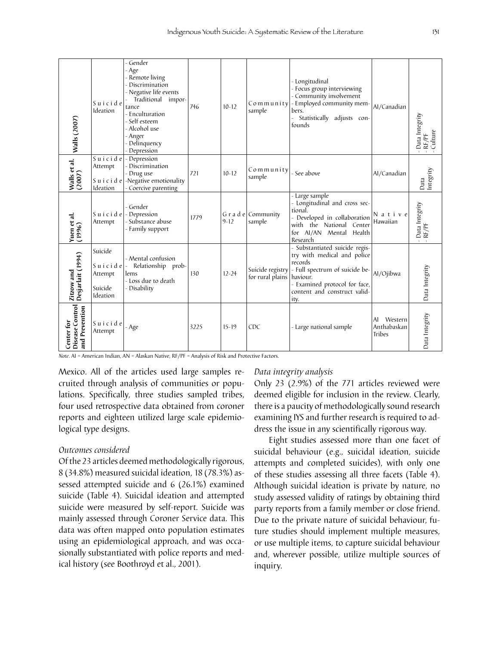| Walls (2007)                                    | Suicide<br>Ideation                                               | Gender<br>- Age<br>- Remote living<br>- Discrimination<br>- Negative life events<br>Traditional impor-<br>tance<br>- Fnculturation<br>- Self esteem<br>- Alcohol use<br>- Anger<br>- Delinquency<br>- Depression | 746  | $10 - 12$ | $Commu$ nity<br>sample                          | - Longitudinal<br>- Focus group interviewing<br>- Community involvement<br>- Employed community mem-<br>bers.<br>Statistically adjusts con-<br>founds                               | Al/Canadian                                   | Data Integrity<br>Culture<br>$\overline{\phantom{a}}$ RF/PF             |
|-------------------------------------------------|-------------------------------------------------------------------|------------------------------------------------------------------------------------------------------------------------------------------------------------------------------------------------------------------|------|-----------|-------------------------------------------------|-------------------------------------------------------------------------------------------------------------------------------------------------------------------------------------|-----------------------------------------------|-------------------------------------------------------------------------|
| Walls et al.<br>(2007)                          | Attempt<br>Ideation                                               | Suicide - Depression<br>- Discrimination<br>- Drug use<br>S u i c i d e $\vert$ -Negative emotionality<br>- Coercive parenting                                                                                   | 721  | $10 - 12$ | Community<br>sample                             | - See above                                                                                                                                                                         | Al/Canadian                                   | Integrity<br>Data                                                       |
| Yuen et al.<br>(1996)                           | Attempt                                                           | - Gender<br>Suicide - Depression<br>- Substance abuse<br>- Family support                                                                                                                                        | 1779 | $9-12$    | G r a d e Community<br>sample                   | - Large sample<br>- Longitudinal and cross sec-<br>tional.<br>- Developed in collaboration<br>with the National Center<br>for AI/AN Mental Health<br>Research                       | Native<br>Hawaiian                            | $\cdot$ Data Integrity<br>$\overline{\text{RF}/\text{PF}}$<br>$\bar{1}$ |
| Desjarlait (1994)<br>Zitzow and                 | Suicide<br>$S$ uicide $\vert$ -<br>Attempt<br>Suicide<br>Ideation | - Mental confusion<br>Relationship prob-<br>lems<br>- Loss due to death<br>- Disability                                                                                                                          | 130  | $12 - 24$ | Suicide registry<br>for rural plains   haviour. | - Substantiated suicide regis-<br>try with medical and police<br>records<br>- Full spectrum of suicide be-<br>- Examined protocol for face,<br>content and construct valid-<br>ity. | Al/Ojibwa                                     | Data Integrity                                                          |
| Disease Control<br>and Prevention<br>Center for | Suicide<br>Attempt                                                | - Age                                                                                                                                                                                                            | 3225 | $15 - 19$ | CDC                                             | - Large national sample                                                                                                                                                             | Al<br>Western<br>Anthabaskan<br><b>Tribes</b> | Data Integrity                                                          |

*Note*. AI = American Indian, AN = Alaskan Native, RF/PF = Analysis of Risk and Protective Factors.

Mexico. All of the articles used large samples recruited through analysis of communities or populations. Specifically, three studies sampled tribes, four used retrospective data obtained from coroner reports and eighteen utilized large scale epidemiological type designs.

### *Outcomes considered*

Of the 23 articles deemed methodologically rigorous, 8 (34.8%) measured suicidal ideation, 18 (78.3%) assessed attempted suicide and 6 (26.1%) examined suicide (Table 4). Suicidal ideation and attempted suicide were measured by self-report. Suicide was mainly assessed through Coroner Service data. This data was often mapped onto population estimates using an epidemiological approach, and was occasionally substantiated with police reports and medical history (see Boothroyd et al., 2001).

#### *Data integrity analysis*

Only 23 (2.9%) of the 771 articles reviewed were deemed eligible for inclusion in the review. Clearly, there is a paucity of methodologically sound research examining IYS and further research is required to address the issue in any scientifically rigorous way.

Eight studies assessed more than one facet of suicidal behaviour (e.g., suicidal ideation, suicide attempts and completed suicides), with only one of these studies assessing all three facets (Table 4). Although suicidal ideation is private by nature, no study assessed validity of ratings by obtaining third party reports from a family member or close friend. Due to the private nature of suicidal behaviour, future studies should implement multiple measures, or use multiple items, to capture suicidal behaviour and, wherever possible, utilize multiple sources of inquiry.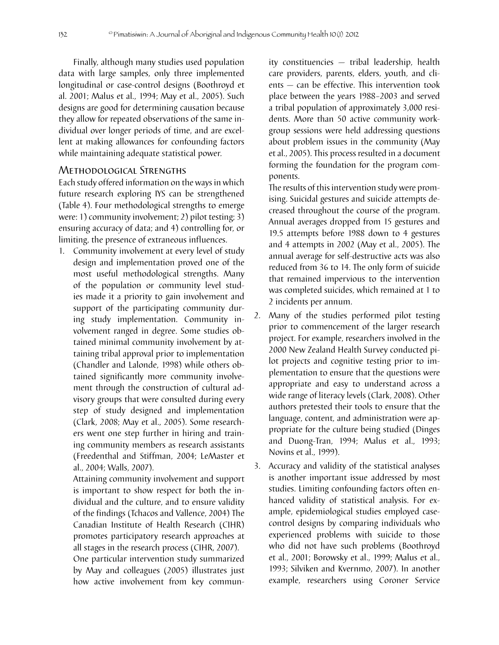Finally, although many studies used population data with large samples, only three implemented longitudinal or case-control designs (Boothroyd et al. 2001; Malus et al., 1994; May et al., 2005). Such designs are good for determining causation because they allow for repeated observations of the same individual over longer periods of time, and are excellent at making allowances for confounding factors while maintaining adequate statistical power.

### Methodological Strengths

Each study offered information on the ways in which future research exploring IYS can be strengthened (Table 4). Four methodological strengths to emerge were: 1) community involvement; 2) pilot testing; 3) ensuring accuracy of data; and 4) controlling for, or limiting, the presence of extraneous influences.

1. Community involvement at every level of study design and implementation proved one of the most useful methodological strengths. Many of the population or community level studies made it a priority to gain involvement and support of the participating community during study implementation. Community involvement ranged in degree. Some studies obtained minimal community involvement by attaining tribal approval prior to implementation (Chandler and Lalonde, 1998) while others obtained significantly more community involvement through the construction of cultural advisory groups that were consulted during every step of study designed and implementation (Clark, 2008; May et al., 2005). Some researchers went one step further in hiring and training community members as research assistants (Freedenthal and Stiffman, 2004; LeMaster et al., 2004; Walls, 2007).

Attaining community involvement and support is important to show respect for both the individual and the culture, and to ensure validity of the findings (Tchacos and Vallence, 2004) The Canadian Institute of Health Research (CIHR) promotes participatory research approaches at all stages in the research process (CIHR, 2007).

One particular intervention study summarized by May and colleagues (2005) illustrates just how active involvement from key commun-

ity constituencies — tribal leadership, health care providers, parents, elders, youth, and clients — can be effective. This intervention took place between the years 1988–2003 and served a tribal population of approximately 3,000 residents. More than 50 active community workgroup sessions were held addressing questions about problem issues in the community (May et al., 2005). This process resulted in a document forming the foundation for the program components.

The results of this intervention study were promising. Suicidal gestures and suicide attempts decreased throughout the course of the program. Annual averages dropped from 15 gestures and 19.5 attempts before 1988 down to 4 gestures and 4 attempts in 2002 (May et al., 2005). The annual average for self-destructive acts was also reduced from 36 to 14. The only form of suicide that remained impervious to the intervention was completed suicides, which remained at 1 to 2 incidents per annum.

- 2. Many of the studies performed pilot testing prior to commencement of the larger research project. For example, researchers involved in the 2000 New Zealand Health Survey conducted pilot projects and cognitive testing prior to implementation to ensure that the questions were appropriate and easy to understand across a wide range of literacy levels (Clark, 2008). Other authors pretested their tools to ensure that the language, content, and administration were appropriate for the culture being studied (Dinges and Duong-Tran, 1994; Malus et al., 1993; Novins et al., 1999).
- 3. Accuracy and validity of the statistical analyses is another important issue addressed by most studies. Limiting confounding factors often enhanced validity of statistical analysis. For example, epidemiological studies employed casecontrol designs by comparing individuals who experienced problems with suicide to those who did not have such problems (Boothroyd et al., 2001; Borowsky et al., 1999; Malus et al., 1993; Silviken and Kvernmo, 2007). In another example, researchers using Coroner Service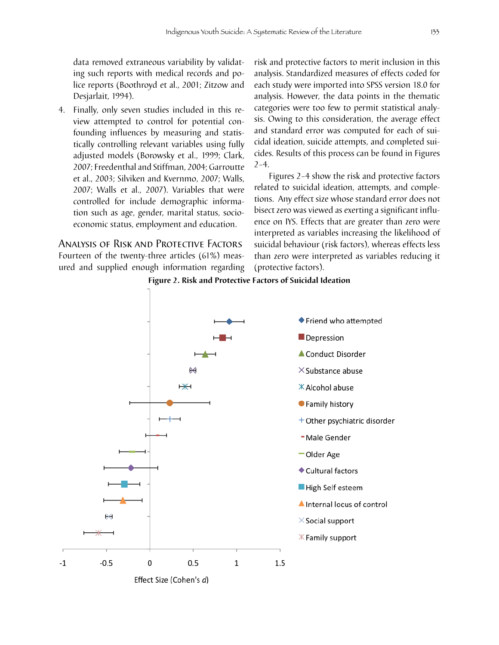data removed extraneous variability by validating such reports with medical records and police reports (Boothroyd et al., 2001; Zitzow and Desjarlait, 1994).

4. Finally, only seven studies included in this review attempted to control for potential confounding influences by measuring and statistically controlling relevant variables using fully adjusted models (Borowsky et al., 1999; Clark, 2007; Freedenthal and Stiffman, 2004; Garroutte et al., 2003; Silviken and Kvernmo, 2007; Walls, 2007; Walls et al., 2007). Variables that were controlled for include demographic information such as age, gender, marital status, socioeconomic status, employment and education.

Analysis of Risk and Protective Factors Fourteen of the twenty-three articles (61%) measured and supplied enough information regarding

risk and protective factors to merit inclusion in this analysis. Standardized measures of effects coded for each study were imported into SPSS version 18.0 for analysis. However, the data points in the thematic categories were too few to permit statistical analysis. Owing to this consideration, the average effect and standard error was computed for each of suicidal ideation, suicide attempts, and completed suicides. Results of this process can be found in Figures  $2-4.$ 

Figures 2–4 show the risk and protective factors related to suicidal ideation, attempts, and completions. Any effect size whose standard error does not bisect zero was viewed as exerting a significant influence on IYS. Effects that are greater than zero were interpreted as variables increasing the likelihood of suicidal behaviour (risk factors), whereas effects less than zero were interpreted as variables reducing it (protective factors).



# **Figure 2. Risk and Protective Factors of Suicidal Ideation**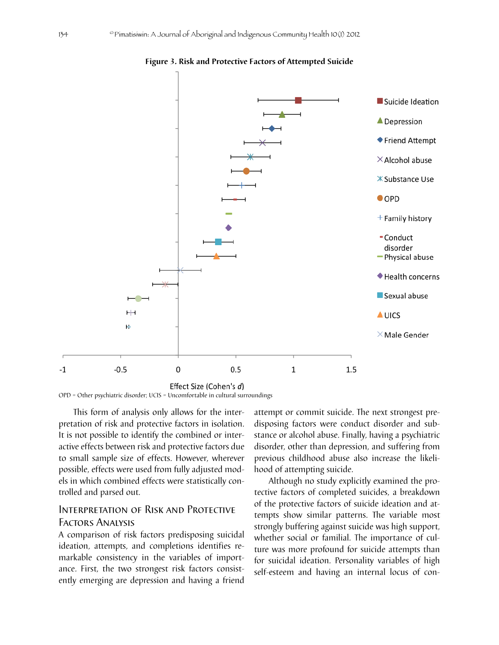

**Figure 3. Risk and Protective Factors of Attempted Suicide**

OPD = Other psychiatric disorder; UCIS = Uncomfortable in cultural surroundings

This form of analysis only allows for the interpretation of risk and protective factors in isolation. It is not possible to identify the combined or interactive effects between risk and protective factors due to small sample size of effects. However, wherever possible, effects were used from fully adjusted models in which combined effects were statistically controlled and parsed out.

# Interpretation of Risk and Protective Factors Analysis

A comparison of risk factors predisposing suicidal ideation, attempts, and completions identifies remarkable consistency in the variables of importance. First, the two strongest risk factors consistently emerging are depression and having a friend attempt or commit suicide. The next strongest predisposing factors were conduct disorder and substance or alcohol abuse. Finally, having a psychiatric disorder, other than depression, and suffering from previous childhood abuse also increase the likelihood of attempting suicide.

Although no study explicitly examined the protective factors of completed suicides, a breakdown of the protective factors of suicide ideation and attempts show similar patterns. The variable most strongly buffering against suicide was high support, whether social or familial. The importance of culture was more profound for suicide attempts than for suicidal ideation. Personality variables of high self-esteem and having an internal locus of con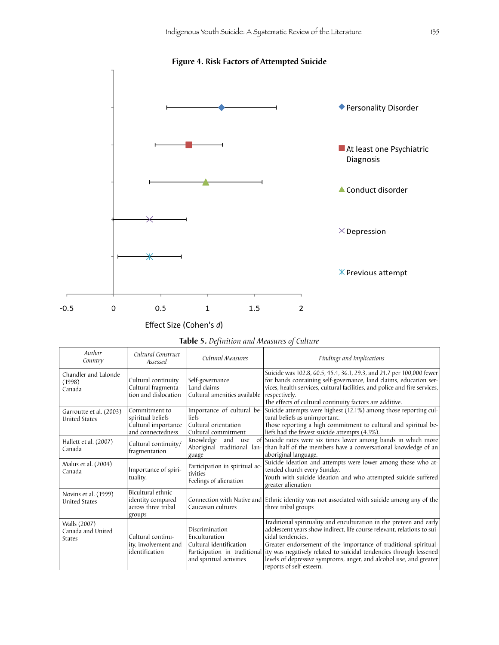**Figure 4. Risk Factors of Attempted Suicide**



| Table 5. Definition and Measures of Culture |  |
|---------------------------------------------|--|
|---------------------------------------------|--|

| Author<br>Country                                  | Cultural Construct<br>Cultural Measures<br>Assessed                            |                                                                                                                        | Findings and Implications                                                                                                                                                                                                                                                                                                                                                                                     |  |  |
|----------------------------------------------------|--------------------------------------------------------------------------------|------------------------------------------------------------------------------------------------------------------------|---------------------------------------------------------------------------------------------------------------------------------------------------------------------------------------------------------------------------------------------------------------------------------------------------------------------------------------------------------------------------------------------------------------|--|--|
| Chandler and Lalonde<br>(1998)<br>Canada           | Cultural continuity<br>Cultural fragmenta-<br>tion and dislocation             | Self-governance<br>Land claims<br>Cultural amenities available                                                         | Suicide was 102.8, 60.5, 45.4, 36.1, 29.3, and 24.7 per 100,000 fewer<br>for bands containing self-governance, land claims, education ser-<br>vices, health services, cultural facilities, and police and fire services,<br>respectively.<br>The effects of cultural continuity factors are additive.                                                                                                         |  |  |
| Garroutte et al. (2003)<br>United States           | Commitment to<br>spiritual beliefs<br>Cultural importance<br>and connectedness | Importance of cultural be-<br>liefs<br>Cultural orientation<br>Cultural commitment                                     | Suicide attempts were highest (12.1%) among those reporting cul-<br>tural beliefs as unimportant.<br>Those reporting a high commitment to cultural and spiritual be-<br>liefs had the fewest suicide attempts (4.3%).                                                                                                                                                                                         |  |  |
| Hallett et al. (2007)<br>Canada                    | Cultural continuity/<br>fragmentation                                          | Knowledge<br>and<br>use<br>Aboriginal traditional lan-<br>guage                                                        | of Suicide rates were six times lower among bands in which more<br>than half of the members have a conversational knowledge of an<br>aboriginal language.                                                                                                                                                                                                                                                     |  |  |
| Malus et al. (2004)<br>Canada                      | Importance of spiri-<br>tuality.                                               | Participation in spiritual ac-<br>tivities<br>Feelings of alienation                                                   | Suicide ideation and attempts were lower among those who at-<br>tended church every Sunday.<br>Youth with suicide ideation and who attempted suicide suffered<br>greater alienation                                                                                                                                                                                                                           |  |  |
| Novins et al. (1999)<br>United States              | Bicultural ethnic<br>identity compared<br>across three tribal<br>groups        | Caucasian cultures                                                                                                     | Connection with Native and Ethnic identity was not associated with suicide among any of the<br>three tribal groups                                                                                                                                                                                                                                                                                            |  |  |
| Walls (2007)<br>Canada and United<br><b>States</b> | Cultural continu-<br>ity, involvement and<br>identification                    | Discrimination<br>Enculturation<br>Cultural identification<br>Participation in traditional<br>and spiritual activities | Traditional spirituality and enculturation in the preteen and early<br>adolescent years show indirect, life course relevant, relations to sui-<br>cidal tendencies.<br>Greater endorsement of the importance of traditional spiritual-<br>ity was negatively related to suicidal tendencies through lessened<br>levels of depressive symptoms, anger, and alcohol use, and greater<br>reports of self-esteem. |  |  |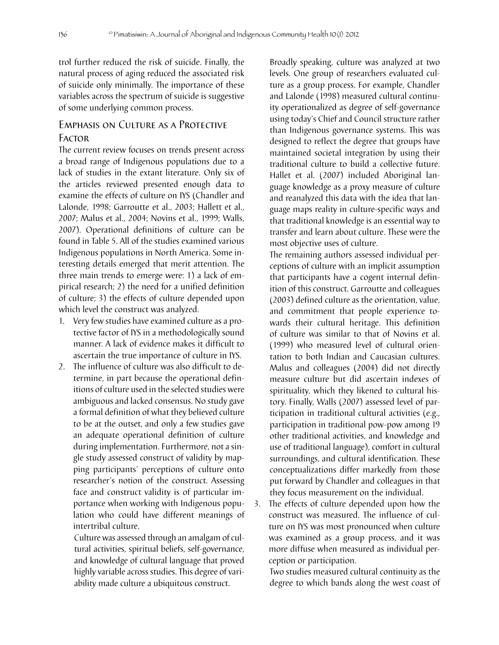trol further reduced the risk of suicide. Finally, the natural process of aging reduced the associated risk of suicide only minimally. The importance of these variables across the spectrum of suicide is suggestive of some underlying common process.

# Emphasis on Culture as a Protective Factor

The current review focuses on trends present across a broad range of Indigenous populations due to a lack of studies in the extant literature. Only six of the articles reviewed presented enough data to examine the effects of culture on IYS (Chandler and Lalonde, 1998; Garroutte et al., 2003; Hallett et al., 2007; Malus et al., 2004; Novins et al., 1999; Walls, 2007). Operational definitions of culture can be found in Table 5. All of the studies examined various Indigenous populations in North America. Some interesting details emerged that merit attention. The three main trends to emerge were: 1) a lack of empirical research; 2) the need for a unified definition of culture; 3) the effects of culture depended upon which level the construct was analyzed.

- 1. Very few studies have examined culture as a protective factor of IYS in a methodologically sound manner. A lack of evidence makes it difficult to ascertain the true importance of culture in IYS.
- 2. The influence of culture was also difficult to determine, in part because the operational definitions of culture used in the selected studies were ambiguous and lacked consensus. No study gave a formal definition of what they believed culture to be at the outset, and only a few studies gave an adequate operational definition of culture during implementation. Furthermore, not a single study assessed construct of validity by mapping participants' perceptions of culture onto researcher's notion of the construct. Assessing face and construct validity is of particular importance when working with Indigenous population who could have different meanings of intertribal culture.

Culture was assessed through an amalgam of cultural activities, spiritual beliefs, self-governance, and knowledge of cultural language that proved highly variable across studies. This degree of variability made culture a ubiquitous construct.

Broadly speaking, culture was analyzed at two levels. One group of researchers evaluated culture as a group process. For example, Chandler and Lalonde (1998) measured cultural continuity operationalized as degree of self-governance using today's Chief and Council structure rather than Indigenous governance systems. This was designed to reflect the degree that groups have maintained societal integration by using their traditional culture to build a collective future. Hallet et al. (2007) included Aboriginal language knowledge as a proxy measure of culture and reanalyzed this data with the idea that language maps reality in culture-specific ways and that traditional knowledge is an essential way to transfer and learn about culture. These were the most objective uses of culture.

The remaining authors assessed individual perceptions of culture with an implicit assumption that participants have a cogent internal definition of this construct. Garroutte and colleagues (2003) defined culture as the orientation, value, and commitment that people experience towards their cultural heritage. This definition of culture was similar to that of Novins et al. (1999) who measured level of cultural orientation to both Indian and Caucasian cultures. Malus and colleagues (2004) did not directly measure culture but did ascertain indexes of spirituality, which they likened to cultural history. Finally, Walls (2007) assessed level of participation in traditional cultural activities (e.g., participation in traditional pow-pow among 19 other traditional activities, and knowledge and use of traditional language), comfort in cultural surroundings, and cultural identification. These conceptualizations differ markedly from those put forward by Chandler and colleagues in that they focus measurement on the individual.

3. The effects of culture depended upon how the construct was measured. The influence of culture on IYS was most pronounced when culture was examined as a group process, and it was more diffuse when measured as individual perception or participation.

Two studies measured cultural continuity as the degree to which bands along the west coast of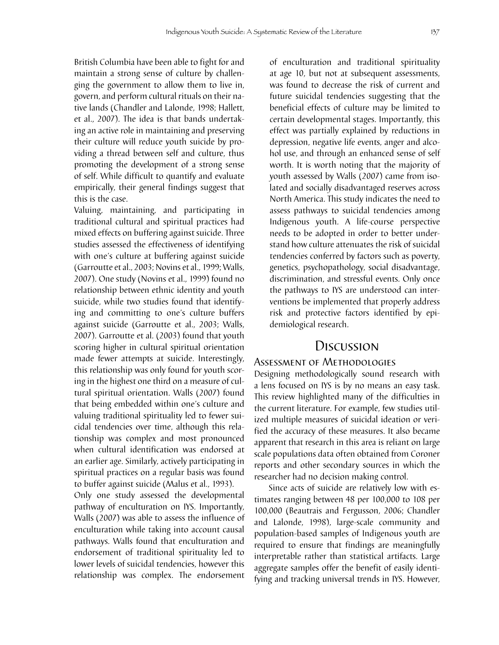British Columbia have been able to fight for and maintain a strong sense of culture by challenging the government to allow them to live in, govern, and perform cultural rituals on their native lands (Chandler and Lalonde, 1998; Hallett, et al., 2007). The idea is that bands undertaking an active role in maintaining and preserving their culture will reduce youth suicide by providing a thread between self and culture, thus promoting the development of a strong sense of self. While difficult to quantify and evaluate empirically, their general findings suggest that this is the case.

Valuing, maintaining, and participating in traditional cultural and spiritual practices had mixed effects on buffering against suicide. Three studies assessed the effectiveness of identifying with one's culture at buffering against suicide (Garroutte et al., 2003; Novins et al., 1999; Walls, 2007). One study (Novins et al., 1999) found no relationship between ethnic identity and youth suicide, while two studies found that identifying and committing to one's culture buffers against suicide (Garroutte et al., 2003; Walls, 2007). Garroutte et al. (2003) found that youth scoring higher in cultural spiritual orientation made fewer attempts at suicide. Interestingly, this relationship was only found for youth scoring in the highest one third on a measure of cultural spiritual orientation. Walls (2007) found that being embedded within one's culture and valuing traditional spirituality led to fewer suicidal tendencies over time, although this relationship was complex and most pronounced when cultural identification was endorsed at an earlier age. Similarly, actively participating in spiritual practices on a regular basis was found to buffer against suicide (Malus et al., 1993).

Only one study assessed the developmental pathway of enculturation on IYS. Importantly, Walls (2007) was able to assess the influence of enculturation while taking into account causal pathways. Walls found that enculturation and endorsement of traditional spirituality led to lower levels of suicidal tendencies, however this relationship was complex. The endorsement of enculturation and traditional spirituality at age 10, but not at subsequent assessments, was found to decrease the risk of current and future suicidal tendencies suggesting that the beneficial effects of culture may be limited to certain developmental stages. Importantly, this effect was partially explained by reductions in depression, negative life events, anger and alcohol use, and through an enhanced sense of self worth. It is worth noting that the majority of youth assessed by Walls (2007) came from isolated and socially disadvantaged reserves across North America. This study indicates the need to assess pathways to suicidal tendencies among Indigenous youth. A life-course perspective needs to be adopted in order to better understand how culture attenuates the risk of suicidal tendencies conferred by factors such as poverty, genetics, psychopathology, social disadvantage, discrimination, and stressful events. Only once the pathways to IYS are understood can interventions be implemented that properly address risk and protective factors identified by epidemiological research.

# Discussion

### Assessment of Methodologies

Designing methodologically sound research with a lens focused on IYS is by no means an easy task. This review highlighted many of the difficulties in the current literature. For example, few studies utilized multiple measures of suicidal ideation or verified the accuracy of these measures. It also became apparent that research in this area is reliant on large scale populations data often obtained from Coroner reports and other secondary sources in which the researcher had no decision making control.

Since acts of suicide are relatively low with estimates ranging between 48 per 100,000 to 108 per 100,000 (Beautrais and Fergusson, 2006; Chandler and Lalonde, 1998), large-scale community and population-based samples of Indigenous youth are required to ensure that findings are meaningfully interpretable rather than statistical artifacts. Large aggregate samples offer the benefit of easily identifying and tracking universal trends in IYS. However,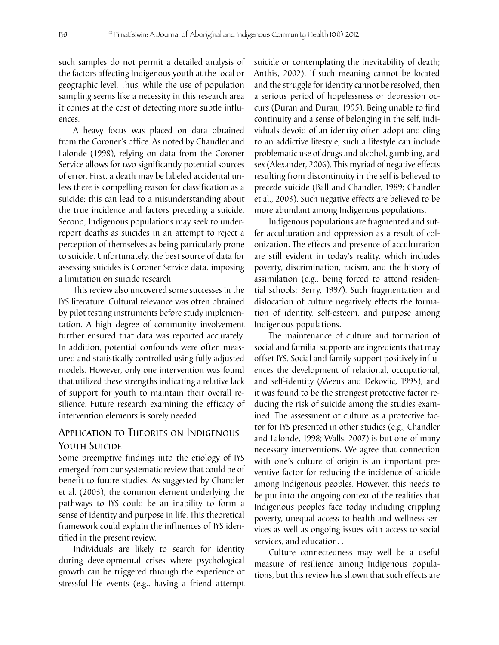such samples do not permit a detailed analysis of the factors affecting Indigenous youth at the local or geographic level. Thus, while the use of population sampling seems like a necessity in this research area it comes at the cost of detecting more subtle influences.

A heavy focus was placed on data obtained from the Coroner's office. As noted by Chandler and Lalonde (1998), relying on data from the Coroner Service allows for two significantly potential sources of error. First, a death may be labeled accidental unless there is compelling reason for classification as a suicide; this can lead to a misunderstanding about the true incidence and factors preceding a suicide. Second, Indigenous populations may seek to underreport deaths as suicides in an attempt to reject a perception of themselves as being particularly prone to suicide. Unfortunately, the best source of data for assessing suicides is Coroner Service data, imposing a limitation on suicide research.

This review also uncovered some successes in the IYS literature. Cultural relevance was often obtained by pilot testing instruments before study implementation. A high degree of community involvement further ensured that data was reported accurately. In addition, potential confounds were often measured and statistically controlled using fully adjusted models. However, only one intervention was found that utilized these strengths indicating a relative lack of support for youth to maintain their overall resilience. Future research examining the efficacy of intervention elements is sorely needed.

# Application to Theories on Indigenous Youth Suicide

Some preemptive findings into the etiology of IYS emerged from our systematic review that could be of benefit to future studies. As suggested by Chandler et al. (2003), the common element underlying the pathways to IYS could be an inability to form a sense of identity and purpose in life. This theoretical framework could explain the influences of IYS identified in the present review.

Individuals are likely to search for identity during developmental crises where psychological growth can be triggered through the experience of stressful life events (e.g., having a friend attempt

suicide or contemplating the inevitability of death; Anthis, 2002). If such meaning cannot be located and the struggle for identity cannot be resolved, then a serious period of hopelessness or depression occurs (Duran and Duran, 1995). Being unable to find continuity and a sense of belonging in the self, individuals devoid of an identity often adopt and cling to an addictive lifestyle; such a lifestyle can include problematic use of drugs and alcohol, gambling, and sex (Alexander, 2006). This myriad of negative effects resulting from discontinuity in the self is believed to precede suicide (Ball and Chandler, 1989; Chandler et al., 2003). Such negative effects are believed to be more abundant among Indigenous populations.

Indigenous populations are fragmented and suffer acculturation and oppression as a result of colonization. The effects and presence of acculturation are still evident in today's reality, which includes poverty, discrimination, racism, and the history of assimilation (e.g., being forced to attend residential schools; Berry, 1997). Such fragmentation and dislocation of culture negatively effects the formation of identity, self-esteem, and purpose among Indigenous populations.

The maintenance of culture and formation of social and familial supports are ingredients that may offset IYS. Social and family support positively influences the development of relational, occupational, and self-identity (Meeus and Dekoviic, 1995), and it was found to be the strongest protective factor reducing the risk of suicide among the studies examined. The assessment of culture as a protective factor for IYS presented in other studies (e.g., Chandler and Lalonde, 1998; Walls, 2007) is but one of many necessary interventions. We agree that connection with one's culture of origin is an important preventive factor for reducing the incidence of suicide among Indigenous peoples. However, this needs to be put into the ongoing context of the realities that Indigenous peoples face today including crippling poverty, unequal access to health and wellness services as well as ongoing issues with access to social services, and education. .

Culture connectedness may well be a useful measure of resilience among Indigenous populations, but this review has shown that such effects are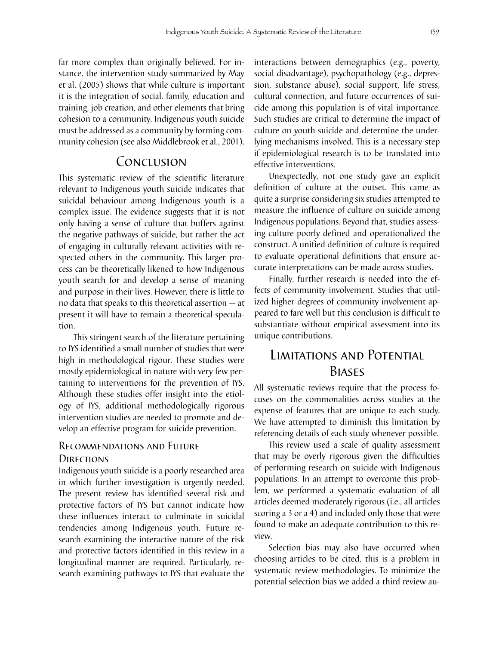far more complex than originally believed. For instance, the intervention study summarized by May et al. (2005) shows that while culture is important it is the integration of social, family, education and training, job creation, and other elements that bring cohesion to a community. Indigenous youth suicide must be addressed as a community by forming community cohesion (see also Middlebrook et al., 2001).

# Conclusion

This systematic review of the scientific literature relevant to Indigenous youth suicide indicates that suicidal behaviour among Indigenous youth is a complex issue. The evidence suggests that it is not only having a sense of culture that buffers against the negative pathways of suicide, but rather the act of engaging in culturally relevant activities with respected others in the community. This larger process can be theoretically likened to how Indigenous youth search for and develop a sense of meaning and purpose in their lives. However, there is little to no data that speaks to this theoretical assertion — at present it will have to remain a theoretical speculation.

This stringent search of the literature pertaining to IYS identified a small number of studies that were high in methodological rigour. These studies were mostly epidemiological in nature with very few pertaining to interventions for the prevention of IYS. Although these studies offer insight into the etiology of IYS, additional methodologically rigorous intervention studies are needed to promote and develop an effective program for suicide prevention.

# Recommendations and Future Directions

Indigenous youth suicide is a poorly researched area in which further investigation is urgently needed. The present review has identified several risk and protective factors of IYS but cannot indicate how these influences interact to culminate in suicidal tendencies among Indigenous youth. Future research examining the interactive nature of the risk and protective factors identified in this review in a longitudinal manner are required. Particularly, research examining pathways to IYS that evaluate the interactions between demographics (e.g., poverty, social disadvantage), psychopathology (e.g., depression, substance abuse), social support, life stress, cultural connection, and future occurrences of suicide among this population is of vital importance. Such studies are critical to determine the impact of culture on youth suicide and determine the underlying mechanisms involved. This is a necessary step if epidemiological research is to be translated into effective interventions.

Unexpectedly, not one study gave an explicit definition of culture at the outset. This came as quite a surprise considering six studies attempted to measure the influence of culture on suicide among Indigenous populations. Beyond that, studies assessing culture poorly defined and operationalized the construct. A unified definition of culture is required to evaluate operational definitions that ensure accurate interpretations can be made across studies.

Finally, further research is needed into the effects of community involvement. Studies that utilized higher degrees of community involvement appeared to fare well but this conclusion is difficult to substantiate without empirical assessment into its unique contributions.

# Limitations and Potential **BIASES**

All systematic reviews require that the process focuses on the commonalities across studies at the expense of features that are unique to each study. We have attempted to diminish this limitation by referencing details of each study whenever possible.

This review used a scale of quality assessment that may be overly rigorous given the difficulties of performing research on suicide with Indigenous populations. In an attempt to overcome this problem, we performed a systematic evaluation of all articles deemed moderately rigorous (i.e., all articles scoring a 3 or a 4) and included only those that were found to make an adequate contribution to this review.

Selection bias may also have occurred when choosing articles to be cited, this is a problem in systematic review methodologies. To minimize the potential selection bias we added a third review au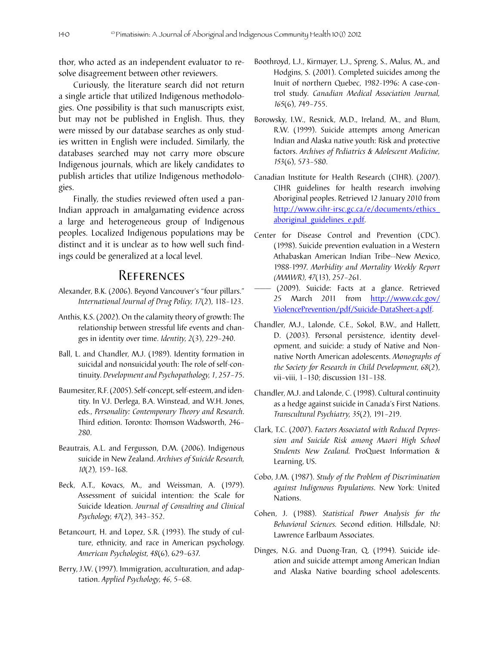thor, who acted as an independent evaluator to resolve disagreement between other reviewers.

Curiously, the literature search did not return a single article that utilized Indigenous methodologies. One possibility is that such manuscripts exist, but may not be published in English. Thus, they were missed by our database searches as only studies written in English were included. Similarly, the databases searched may not carry more obscure Indigenous journals, which are likely candidates to publish articles that utilize Indigenous methodologies.

Finally, the studies reviewed often used a pan-Indian approach in amalgamating evidence across a large and heterogeneous group of Indigenous peoples. Localized Indigenous populations may be distinct and it is unclear as to how well such findings could be generalized at a local level.

# **REFERENCES**

- Alexander, B.K. (2006). Beyond Vancouver's "four pillars." *International Journal of Drug Policy, 17*(2), 118–123.
- Anthis, K.S. (2002). On the calamity theory of growth: The relationship between stressful life events and changes in identity over time. *Identity, 2*(3), 229–240.
- Ball, L. and Chandler, M.J. (1989). Identity formation in suicidal and nonsuicidal youth: The role of self-continuity. *Development and Psychopathology, 1*, 257–75.
- Baumesiter, R.F. (2005). Self-concept, self-esteem, and identity. In V.J. Derlega, B.A. Winstead, and W.H. Jones, eds., *Personality: Contemporary Theory and Research*. Third edition. Toronto: Thomson Wadsworth, 246– 280.
- Beautrais, A.L. and Fergusson, D.M. (2006). Indigenous suicide in New Zealand. *Archives of Suicide Research, 10*(2), 159–168.
- Beck, A.T., Kovacs, M., and Weissman, A. (1979). Assessment of suicidal intention: the Scale for Suicide Ideation. *Journal of Consulting and Clinical Psychology, 47*(2), 343–352.
- Betancourt, H. and Lopez, S.R. (1993). The study of culture, ethnicity, and race in American psychology. *American Psychologist, 48*(6), 629–637.
- Berry, J.W. (1997). Immigration, acculturation, and adaptation. *Applied Psychology, 46*, 5–68.
- Boothroyd, L.J., Kirmayer, L.J., Spreng, S., Malus, M., and Hodgins, S. (2001). Completed suicides among the Inuit of northern Quebec, 1982-1996: A case-control study. *Canadian Medical Association Journal, 165*(6), 749–755.
- Borowsky, I.W., Resnick, M.D., Ireland, M., and Blum, R.W. (1999). Suicide attempts among American Indian and Alaska native youth: Risk and protective factors. *Archives of Pediatrics & Adolescent Medicine, 153*(6), 573–580.
- Canadian Institute for Health Research (CIHR). (2007). CIHR guidelines for health research involving Aboriginal peoples. Retrieved 12 January 2010 from http://www.cihr-irsc.gc.ca/e/documents/ethics\_ aboriginal\_guidelines\_e.pdf.
- Center for Disease Control and Prevention (CDC). (1998). Suicide prevention evaluation in a Western Athabaskan American Indian Tribe--New Mexico, 1988-1997. *Morbidity and Mortality Weekly Report (MMWR), 47*(13), 257–261.
- (2009). Suicide: Facts at a glance. Retrieved 25 March 2011 from http://www.cdc.gov/ ViolencePrevention/pdf/Suicide-DataSheet-a.pdf.
- Chandler, M.J., Lalonde, C.E., Sokol, B.W., and Hallett, D. (2003). Personal persistence, identity development, and suicide: a study of Native and Nonnative North American adolescents. *Monographs of the Society for Research in Child Development, 68*(2), vii–viii, 1–130; discussion 131–138.
- Chandler, M.J. and Lalonde, C. (1998). Cultural continuity as a hedge against suicide in Canada's First Nations. *Transcultural Psychiatry, 35*(2), 191–219.
- Clark, T.C. (2007). *Factors Associated with Reduced Depression and Suicide Risk among Maori High School Students New Zealand.* ProQuest Information & Learning, US.
- Cobo, J.M. (1987). *Study of the Problem of Discrimination against Indigenous Populations*. New York: United Nations.
- Cohen, J. (1988). *Statistical Power Analysis for the Behavioral Sciences.* Second edition. Hillsdale, NJ: Lawrence Earlbaum Associates.
- Dinges, N.G. and Duong-Tran, Q. (1994). Suicide ideation and suicide attempt among American Indian and Alaska Native boarding school adolescents.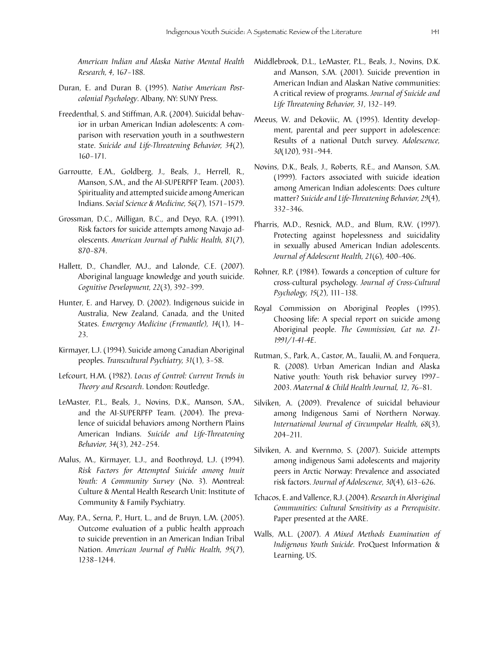*American Indian and Alaska Native Mental Health Research, 4*, 167–188.

- Duran, E. and Duran B. (1995). *Native American Postcolonial Psychology*. Albany, NY: SUNY Press.
- Freedenthal, S. and Stiffman, A.R. (2004). Suicidal behavior in urban American Indian adolescents: A comparison with reservation youth in a southwestern state. *Suicide and Life-Threatening Behavior, 34*(2), 160–171.
- Garroutte, E.M., Goldberg, J., Beals, J., Herrell, R., Manson, S.M., and the AI-SUPERPFP Team. (2003). Spirituality and attempted suicide among American Indians. *Social Science & Medicine, 56*(7), 1571–1579.
- Grossman, D.C., Milligan, B.C., and Deyo, R.A. (1991). Risk factors for suicide attempts among Navajo adolescents. *American Journal of Public Health, 81*(7), 870–874.
- Hallett, D., Chandler, M.J., and Lalonde, C.E. (2007). Aboriginal language knowledge and youth suicide. *Cognitive Development, 22*(3), 392–399.
- Hunter, E. and Harvey, D. (2002). Indigenous suicide in Australia, New Zealand, Canada, and the United States. *Emergency Medicine (Fremantle), 14*(1), 14– 23.
- Kirmayer, L.J. (1994). Suicide among Canadian Aboriginal peoples. *Transcultural Psychiatry, 31*(1), 3–58.
- Lefcourt, H.M. (1982). *Locus of Control: Current Trends in Theory and Research*. London: Routledge.
- LeMaster, P.L., Beals, J., Novins, D.K., Manson, S.M., and the AI-SUPERPFP Team. (2004). The prevalence of suicidal behaviors among Northern Plains American Indians. *Suicide and Life-Threatening Behavior, 34*(3), 242–254.
- Malus, M., Kirmayer, L.J., and Boothroyd, L.J. (1994). *Risk Factors for Attempted Suicide among Inuit Youth: A Community Survey* (No. 3). Montreal: Culture & Mental Health Research Unit: Institute of Community & Family Psychiatry.
- May, P.A., Serna, P., Hurt, L., and de Bruyn, L.M. (2005). Outcome evaluation of a public health approach to suicide prevention in an American Indian Tribal Nation. *American Journal of Public Health, 95*(7), 1238–1244.
- Middlebrook, D.L., LeMaster, P.L., Beals, J., Novins, D.K. and Manson, S.M. (2001). Suicide prevention in American Indian and Alaskan Native communities: A critical review of programs. *Journal of Suicide and Life Threatening Behavior, 31*, 132–149.
- Meeus, W. and Dekoviic, M. (1995). Identity development, parental and peer support in adolescence: Results of a national Dutch survey. *Adolescence, 30*(120), 931–944.
- Novins, D.K., Beals, J., Roberts, R.E., and Manson, S.M. (1999). Factors associated with suicide ideation among American Indian adolescents: Does culture matter? *Suicide and Life-Threatening Behavior, 29*(4), 332–346.
- Pharris, M.D., Resnick, M.D., and Blum, R.W. (1997). Protecting against hopelessness and suicidality in sexually abused American Indian adolescents. *Journal of Adolescent Health, 21*(6), 400–406.
- Rohner, R.P. (1984). Towards a conception of culture for cross-cultural psychology. *Journal of Cross-Cultural Psychology, 15*(2), 111–138.
- Royal Commission on Aboriginal Peoples (1995). Choosing life: A special report on suicide among Aboriginal people. *The Commission, Cat no. Z1-1991/1-41-4E*.
- Rutman, S., Park, A., Castor, M., Taualii, M. and Forquera, R. (2008). Urban American Indian and Alaska Native youth: Youth risk behavior survey 1997– 2003. *Maternal & Child Health Journal, 12*, 76–81.
- Silviken, A. (2009). Prevalence of suicidal behaviour among Indigenous Sami of Northern Norway. *International Journal of Circumpolar Health, 68*(3), 204–211.
- Silviken, A. and Kvernmo, S. (2007). Suicide attempts among indigenous Sami adolescents and majority peers in Arctic Norway: Prevalence and associated risk factors. *Journal of Adolescence, 30*(4), 613–626.
- Tchacos, E. and Vallence, R.J. (2004). *Research in Aboriginal Communities: Cultural Sensitivity as a Prerequisite*. Paper presented at the AARE.
- Walls, M.L. (2007). *A Mixed Methods Examination of Indigenous Youth Suicide.* ProQuest Information & Learning, US.